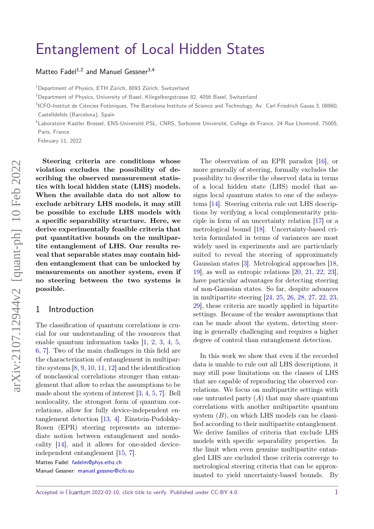# [Entanglement of Local Hidden States](https://quantum-journal.org/?s=Entanglement%20of%20Local%20Hidden%20States&reason=title-click)

[Matteo Fadel](https://orcid.org/0000-0003-3653-0030)<sup>1,2</sup> and [Manuel Gessner](https://orcid.org/0000-0003-4203-0366)<sup>3,4</sup>

<sup>1</sup> Department of Physics, ETH Zürich, 8093 Zürich, Switzerland

<sup>2</sup>Department of Physics, University of Basel, Klingelbergstrasse 82, 4056 Basel, Switzerland

<sup>3</sup>ICFO-Institut de Ciències Fotòniques, The Barcelona Institute of Science and Technology, Av. Carl Friedrich Gauss 3, 08860, Castelldefels (Barcelona), Spain

4 Laboratoire Kastler Brossel, ENS-Université PSL, CNRS, Sorbonne Université, Collège de France, 24 Rue Lhomond, 75005, Paris, France

February 11, 2022

**Steering criteria are conditions whose violation excludes the possibility of describing the observed measurement statistics with local hidden state (LHS) models. When the available data do not allow to exclude arbitrary LHS models, it may still be possible to exclude LHS models with a specific separability structure. Here, we derive experimentally feasible criteria that put quantitative bounds on the multipartite entanglement of LHS. Our results reveal that separable states may contain hidden entanglement that can be unlocked by measurements on another system, even if no steering between the two systems is possible.**

### 1 Introduction

The classification of quantum correlations is crucial for our understanding of the resources that enable quantum information tasks [\[1,](#page-5-0) [2,](#page-5-1) [3,](#page-5-2) [4,](#page-5-3) [5,](#page-5-4) [6,](#page-5-5) [7\]](#page-6-0). Two of the main challenges in this field are the characterization of entanglement in multipartite systems [\[8,](#page-6-1) [9,](#page-6-2) [10,](#page-6-3) [11,](#page-6-4) [12\]](#page-6-5) and the identification of nonclassical correlations stronger than entanglement that allow to relax the assumptions to be made about the system of interest [\[3,](#page-5-2) [4,](#page-5-3) [5,](#page-5-4) [7\]](#page-6-0). Bell nonlocality, the strongest form of quantum correlations, allow for fully device-independent entanglement detection [\[13,](#page-6-6) [4\]](#page-5-3). Einstein-Podolsky-Rosen (EPR) steering represents an intermediate notion between entanglement and nonlocality [\[14\]](#page-6-7), and it allows for one-sided deviceindependent entanglement [\[15,](#page-6-8) [7\]](#page-6-0).

Matteo Fadel: [fadelm@phys.ethz.ch](mailto:fadelm@phys.ethz.ch)

Manuel Gessner: [manuel.gessner@icfo.eu](mailto:manuel.gessner@icfo.eu)

The observation of an EPR paradox [\[16\]](#page-6-9), or more generally of steering, formally excludes the possibility to describe the observed data in terms of a local hidden state (LHS) model that assigns local quantum states to one of the subsystems [\[14\]](#page-6-7). Steering criteria rule out LHS descriptions by verifying a local complementarity principle in form of an uncertainty relation [\[17\]](#page-6-10) or a metrological bound [\[18\]](#page-6-11). Uncertainty-based criteria formulated in terms of variances are most widely used in experiments and are particularly suited to reveal the steering of approximately Gaussian states [\[3\]](#page-5-2). Metrological approaches [\[18,](#page-6-11) [19\]](#page-6-12), as well as entropic relations [\[20,](#page-6-13) [21,](#page-6-14) [22,](#page-6-15) [23\]](#page-6-16), have particular advantages for detecting steering of non-Gaussian states. So far, despite advances in multipartite steering [\[24,](#page-6-17) [25,](#page-6-18) [26,](#page-6-19) [28,](#page-6-20) [27,](#page-6-21) [22,](#page-6-15) [23,](#page-6-16) [29\]](#page-6-22), these criteria are mostly applied in bipartite settings. Because of the weaker assumptions that can be made about the system, detecting steering is generally challenging and requires a higher degree of control than entanglement detection.

In this work we show that even if the recorded data is unable to rule out all LHS descriptions, it may still pose limitations on the classes of LHS that are capable of reproducing the observed correlations. We focus on multipartite settings with one untrusted party  $(A)$  that may share quantum correlations with another multipartite quantum system  $(B)$ , on which LHS models can be classified according to their multipartite entanglement. We derive families of criteria that exclude LHS models with specific separability properties. In the limit when even genuine multipartite entangled LHS are excluded these criteria converge to metrological steering criteria that can be approximated to yield uncertainty-based bounds. By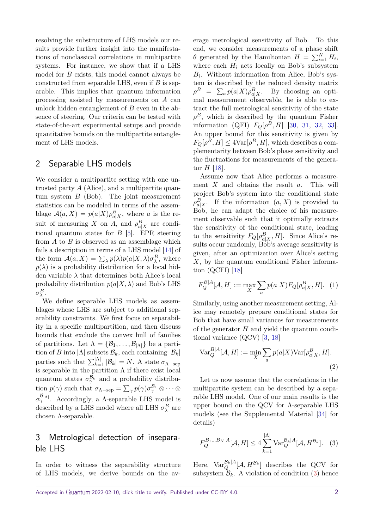resolving the substructure of LHS models our results provide further insight into the manifestations of nonclassical correlations in multipartite systems. For instance, we show that if a LHS model for *B* exists, this model cannot always be constructed from separable LHS, even if *B* is separable. This implies that quantum information processing assisted by measurements on *A* can unlock hidden entanglement of *B* even in the absence of steering. Our criteria can be tested with state-of-the-art experimental setups and provide quantitative bounds on the multipartite entanglement of LHS models.

## 2 Separable LHS models

We consider a multipartite setting with one untrusted party *A* (Alice), and a multipartite quantum system *B* (Bob). The joint measurement statistics can be modeled in terms of the assemblage  $\mathcal{A}(a, X) = p(a|X)\rho_{a|X}^B$ , where *a* is the result of measuring *X* on *A*, and  $\rho_{a|X}^B$  are conditional quantum states for *B* [\[5\]](#page-5-4). EPR steering from *A* to *B* is observed as an assemblage which fails a description in terms of a LHS model [\[14\]](#page-6-7) of the form  $\mathcal{A}(a, X) = \sum_{\lambda} p(\lambda) p(a|X, \lambda) \sigma_{\lambda}^{B}$ , where  $p(\lambda)$  is a probability distribution for a local hidden variable  $\lambda$  that determines both Alice's local probability distribution  $p(a|X, \lambda)$  and Bob's LHS *σ B λ* .

We define separable LHS models as assemblages whose LHS are subject to additional separability constraints. We first focus on separability in a specific multipartition, and then discuss bounds that exclude the convex hull of families of partitions. Let  $\Lambda = {\mathcal{B}_1, \ldots, \mathcal{B}_{|\Lambda|}}$  be a partition of *B* into  $|\Lambda|$  subsets  $\mathcal{B}_k$ , each containing  $|\mathcal{B}_k|$ parties such that  $\sum_{k=1}^{\lvert \Lambda \rvert} |\mathcal{B}_k| = N$ . A state  $\sigma_{\Lambda-\text{sep}}$ is separable in the partition  $\Lambda$  if there exist local quantum states  $\sigma_{\gamma}^{\mathcal{B}_k}$  and a probability distribution  $p(\gamma)$  such that  $\sigma_{\Lambda-\rm sep} = \sum_{\gamma} p(\gamma) \sigma_{\gamma}^{\mathcal{B}_1} \otimes \cdots \otimes$  $\sigma_{\gamma}^{\mathcal{B}_{|\Lambda|}}$ . Accordingly, a Λ-separable LHS model is described by a LHS model where all LHS  $\sigma_{\lambda}^{B}$  are chosen Λ-separable.

## 3 Metrological detection of inseparable LHS

In order to witness the separability structure of LHS models, we derive bounds on the av-

erage metrological sensitivity of Bob. To this end, we consider measurements of a phase shift  $\theta$  generated by the Hamiltonian  $H = \sum_{i=1}^{N} H_i$ , where each  $H_i$  acts locally on Bob's subsystem  $B_i$ . Without information from Alice, Bob's system is described by the reduced density matrix  $\rho^B = \sum_a p(a|X) \rho_{a|X}^B$ . By choosing an optimal measurement observable, he is able to extract the full metrological sensitivity of the state  $\rho^B$ , which is described by the quantum Fisher information (QFI)  $F_Q[\rho^B, H]$  [\[30,](#page-6-23) [31,](#page-6-24) [32,](#page-6-25) [33\]](#page-7-0). An upper bound for this sensitivity is given by  $F_Q[\rho^B, H] \leq 4 \text{Var}[\rho^B, H]$ , which describes a complementarity between Bob's phase sensitivity and the fluctuations for measurements of the generator *H* [\[18\]](#page-6-11).

Assume now that Alice performs a measurement *X* and obtains the result *a*. This will project Bob's system into the conditional state  $\rho_{a|X}^B$ . If the information  $(a, X)$  is provided to Bob, he can adapt the choice of his measurement observable such that it optimally extracts the sensitivity of the conditional state, leading to the sensitivity  $F_Q[\rho_{a|X}^B, H]$ . Since Alice's results occur randomly, Bob's average sensitivity is given, after an optimization over Alice's setting *X*, by the quantum conditional Fisher information (QCFI) [\[18\]](#page-6-11)

<span id="page-1-1"></span>
$$
F_Q^{B|A}[\mathcal{A}, H] := \max_{X} \sum_{a} p(a|X) F_Q[\rho_{a|X}^B, H]. \tag{1}
$$

Similarly, using another measurement setting, Alice may remotely prepare conditional states for Bob that have small variances for measurements of the generator *H* and yield the quantum conditional variance (QCV) [\[3,](#page-5-2) [18\]](#page-6-11)

$$
\text{Var}_Q^{B|A}[\mathcal{A}, H] := \min_X \sum_a p(a|X) \text{Var}[\rho_{a|X}^B, H].
$$
\n(2)

Let us now assume that the correlations in the multipartite system can be described by a separable LHS model. One of our main results is the upper bound on the QCV for Λ-separable LHS models (see the Supplemental Material [\[34\]](#page-7-1) for details)

<span id="page-1-0"></span>
$$
F_Q^{B_1...B_N|A}[\mathcal{A},H] \le 4 \sum_{k=1}^{\lvert \Lambda \rvert} \text{Var}_Q^{\mathcal{B}_k|A}[\mathcal{A},H^{\mathcal{B}_k}]. \quad (3)
$$

Here,  $\text{Var}_{Q}^{\mathcal{B}_{k}}[A_{\cdot}H^{\mathcal{B}_{k}}]$  describes the QCV for subsystem  $\mathcal{B}_k$ . A violation of condition [\(3\)](#page-1-0) hence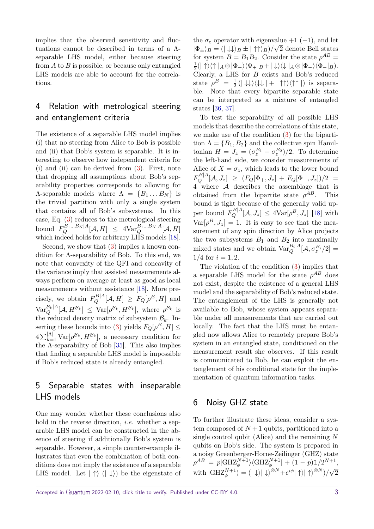implies that the observed sensitivity and fluctuations cannot be described in terms of a Λseparable LHS model, either because steering from *A* to *B* is possible, or because only entangled LHS models are able to account for the correlations.

# 4 Relation with metrological steering and entanglement criteria

The existence of a separable LHS model implies (i) that no steering from Alice to Bob is possible and (ii) that Bob's system is separable. It is interesting to observe how independent criteria for (i) and (ii) can be derived from [\(3\)](#page-1-0). First, note that dropping all assumptions about Bob's separability properties corresponds to allowing for  $\Lambda$ -separable models where  $\Lambda = \{B_1 \dots B_N\}$  is the trivial partition with only a single system that contains all of Bob's subsystems. In this case, Eq. [\(3\)](#page-1-0) reduces to the metrological steering  $\text{bound} \ \ F_Q^{B_1...B_N|A}[\mathcal{A},H] \ \leq \ 4\text{Var}_Q^{B_1...B_N|A}[\mathcal{A},H]$ which indeed holds for arbitrary LHS models [\[18\]](#page-6-11).

Second, we show that [\(3\)](#page-1-0) implies a known condition for Λ-separability of Bob. To this end, we note that convexity of the QFI and concavity of the variance imply that assisted measurements always perform on average at least as good as local measurements without assistance [\[18\]](#page-6-11). More precisely, we obtain  $F_Q^{B|A}[\mathcal{A}, H] \geq F_Q[\rho^B, H]$  and  $\text{Var}_{Q}^{\mathcal{B}_{k}[A}[\mathcal{A},H^{\mathcal{B}_{k}}] \leq \text{Var}[\rho^{\mathcal{B}_{k}},H^{\mathcal{B}_{k}}],$  where  $\rho^{\mathcal{B}_{k}}$  is the reduced density matrix of subsystem  $\mathcal{B}_k$ . In-serting these bounds into [\(3\)](#page-1-0) yields  $F_Q[\rho^B, H] \leq$  $4\sum_{k=1}^{\vert\Lambda\vert} \text{Var}[\rho^{\mathcal{B}_k}, H^{\mathcal{B}_k}],$  a necessary condition for the Λ-separability of Bob [\[35\]](#page-7-2). This also implies that finding a separable LHS model is impossible if Bob's reduced state is already entangled.

# 5 Separable states with inseparable LHS models

One may wonder whether these conclusions also hold in the reverse direction, *i.e.* whether a separable LHS model can be constructed in the absence of steering if additionally Bob's system is separable. However, a simple counter-example illustrates that even the combination of both conditions does not imply the existence of a separable LHS model. Let  $|\uparrow\rangle$  ( $|\downarrow\rangle$ ) be the eigenstate of

the  $\sigma_z$  operator with eigenvalue +1 (-1), and let  $|\Phi_{\pm}\rangle_B = (|\downarrow\downarrow\rangle_B \pm |\uparrow\uparrow\rangle_B)/\sqrt{2}$  denote Bell states for system  $B = B_1 B_2$ . Consider the state  $\rho^{AB} =$ 1  $\frac{1}{2}(|\uparrow\rangle\langle\uparrow|_A\otimes|\Phi_+\rangle\langle\Phi_+|_B+|\downarrow\rangle\langle\downarrow|_A\otimes|\Phi_-\rangle\langle\Phi_-|_B).$ Clearly, a LHS for *B* exists and Bob's reduced state  $\rho^B = \frac{1}{2}$  $\frac{1}{2}$  ( $\ket{\downarrow \downarrow}\bra{\downarrow \downarrow}$   $\ket{+}$   $\uparrow \uparrow \rangle$   $\langle \uparrow \uparrow |$ ) is separable. Note that every bipartite separable state can be interpreted as a mixture of entangled states [\[36,](#page-7-3) [37\]](#page-7-4).

To test the separability of all possible LHS models that describe the correlations of this state, we make use of the condition [\(3\)](#page-1-0) for the bipartition  $\Lambda = \{B_1, B_2\}$  and the collective spin Hamiltonian  $H = J_z = (\sigma_z^{B_1} + \sigma_z^{B_2})/2$ . To determine the left-hand side, we consider measurements of Alice of  $X = \sigma_z$ , which leads to the lower bound  $F_Q^{B|A}[\mathcal{A}, J_z] \geq (F_Q[\Phi_+, J_z] + F_Q[\Phi_-, J_z])/2$  $4$  where  $\overrightarrow{A}$  describes the assemblage that is obtained from the bipartite state  $\rho^{AB}$ . This bound is tight because of the generally valid upper bound  $F_Q^{B|A}[\mathcal{A}, J_z] \leq 4 \text{Var}[\rho^B, J_z]$  [\[18\]](#page-6-11) with  $Var[\rho^B, J_z] = 1$ . It is easy to see that the measurement of any spin direction by Alice projects the two subsystems  $B_1$  and  $B_2$  into maximally mixed states and we obtain  $\text{Var}_{Q}^{B_i|A}[\mathcal{A}, \sigma_z^{B_i}/2] =$  $1/4$  for  $i = 1, 2$ .

The violation of the condition [\(3\)](#page-1-0) implies that a separable LHS model for the state  $\rho^{AB}$  does not exist, despite the existence of a general LHS model and the separability of Bob's reduced state. The entanglement of the LHS is generally not available to Bob, whose system appears separable under all measurements that are carried out locally. The fact that the LHS must be entangled now allows Alice to remotely prepare Bob's system in an entangled state, conditioned on the measurement result she observes. If this result is communicated to Bob, he can exploit the entanglement of his conditional state for the implementation of quantum information tasks.

## 6 Noisy GHZ state

To further illustrate these ideas, consider a system composed of  $N+1$  qubits, partitioned into a single control qubit (Alice) and the remaining *N* qubits on Bob's side. The system is prepared in a noisy Greenberger-Horne-Zeilinger (GHZ) state  $\rho^{AB} = p|\text{GHZ}_{\phi}^{N+1}\rangle\langle \text{GHZ}_{\phi}^{N+1}| + (1-p)1/2^{N+1},$  $\langle \text{with} | \text{GHZ}_{\phi}^{N+1} \rangle = (|\downarrow\rangle |\downarrow\rangle^{\otimes N} + e^{i\phi} |\uparrow\rangle |\uparrow\rangle^{\otimes N}) / \sqrt{2}$ 

Accepted in  $\lambda$ uantum 2022-02-10, click title to verify. Published under CC-BY 4.0. 3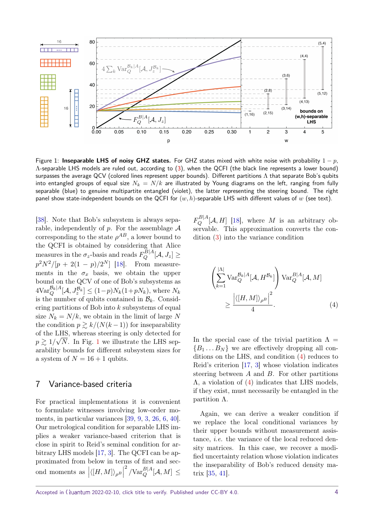<span id="page-3-0"></span>

Figure 1: **Inseparable LHS of noisy GHZ states.** For GHZ states mixed with white noise with probability 1 − *p*, Λ-separable LHS models are ruled out, according to [\(3\)](#page-1-0), when the QCFI (the black line represents a lower bound) surpasses the average QCV (colored lines represent upper bounds). Different partitions  $\Lambda$  that separate Bob's qubits into entangled groups of equal size  $N_k = N/k$  are illustrated by Young diagrams on the left, ranging from fully separable (blue) to genuine multipartite entangled (violet), the latter representing the steering bound. The right panel show state-independent bounds on the QCFI for (*w, h*)-separable LHS with different values of *w* (see text).

[\[38\]](#page-7-5). Note that Bob's subsystem is always separable, independently of  $p$ . For the assemblage  $A$ corresponding to the state  $\rho^{AB}$ , a lower bound to the QCFI is obtained by considering that Alice measures in the  $\sigma_z$ -basis and reads  $F_Q^{B|A}[\mathcal{A}, J_z] \geq$  $p^2 N^2 / [p + 2(1 - p)/2^N]$  [\[18\]](#page-6-11). From measurements in the  $\sigma_x$  basis, we obtain the upper bound on the QCV of one of Bob's subsystems as  $4\text{Var}_{Q}^{\mathcal{B}_{k}|A}[\mathcal{A}, J_{z}^{\mathcal{B}_{k}}] \leq (1-p)N_{k}(1+pN_{k}),$  where  $N_{k}$ is the number of qubits contained in  $\mathcal{B}_k$ . Considering partitions of Bob into *k* subsystems of equal size  $N_k = N/k$ , we obtain in the limit of large N the condition  $p \ge k/(N(k-1))$  for inseparability of the LHS, whereas steering is only detected for  $p \gtrsim 1/\sqrt{N}$  $p \gtrsim 1/\sqrt{N}$  $p \gtrsim 1/\sqrt{N}$ . In Fig. 1 we illustrate the LHS separability bounds for different subsystem sizes for a system of  $N = 16 + 1$  qubits.

## 7 Variance-based criteria

For practical implementations it is convenient to formulate witnesses involving low-order moments, in particular variances [\[39,](#page-7-6) [9,](#page-6-2) [3,](#page-5-2) [26,](#page-6-19) [6,](#page-5-5) [40\]](#page-7-7). Our metrological condition for separable LHS implies a weaker variance-based criterion that is close in spirit to Reid's seminal condition for arbitrary LHS models [\[17,](#page-6-10) [3\]](#page-5-2). The QCFI can be approximated from below in terms of first and second moments as  $\left| \langle [H, M] \rangle_{\rho^B} \right|$  $\int^2$  /Var $_Q^{B|A}$  [*A*, *M*]  $\leq$ 

 $F_Q^{B|A}[\mathcal{A}, H]$  [\[18\]](#page-6-11), where *M* is an arbitrary observable. This approximation converts the condition [\(3\)](#page-1-0) into the variance condition

<span id="page-3-1"></span>
$$
\left(\sum_{k=1}^{\vert\Lambda\vert} \text{Var}_{Q}^{\mathcal{B}_{k}\vert A}[\mathcal{A}, H^{\mathcal{B}_{k}}]\right) \text{Var}_{Q}^{B\vert A}[\mathcal{A}, M]
$$

$$
\geq \frac{\left|\langle[H, M]\rangle_{\rho^{B}}\right|^{2}}{4}.
$$
 (4)

In the special case of the trivial partition  $\Lambda =$  ${B_1 \dots B_N}$  we are effectively dropping all conditions on the LHS, and condition [\(4\)](#page-3-1) reduces to Reid's criterion [\[17,](#page-6-10) [3\]](#page-5-2) whose violation indicates steering between *A* and *B*. For other partitions Λ, a violation of [\(4\)](#page-3-1) indicates that LHS models, if they exist, must necessarily be entangled in the partition Λ.

Again, we can derive a weaker condition if we replace the local conditional variances by their upper bounds without measurement assistance, *i.e.* the variance of the local reduced density matrices. In this case, we recover a modified uncertainty relation whose violation indicates the inseparability of Bob's reduced density matrix [\[35,](#page-7-2) [41\]](#page-7-8).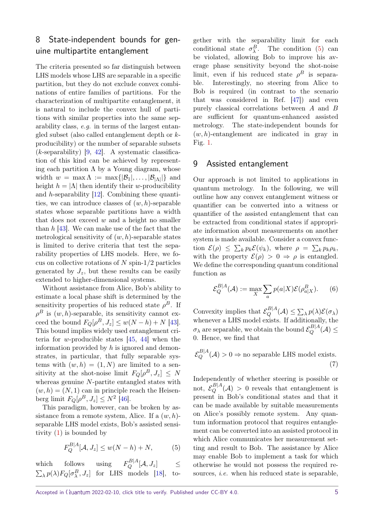# 8 State-independent bounds for genuine multipartite entanglement

The criteria presented so far distinguish between LHS models whose LHS are separable in a specific partition, but they do not exclude convex combinations of entire families of partitions. For the characterization of multipartite entanglement, it is natural to include the convex hull of partitions with similar properties into the same separability class, e.g. in terms of the largest entangled subset (also called entanglement depth or *k*producibility) or the number of separable subsets (*k*-separability) [\[9,](#page-6-2) [42\]](#page-7-9). A systematic classification of this kind can be achieved by representing each partition  $\Lambda$  by a Young diagram, whose width  $w = \max \Lambda := \max\{|\mathcal{B}_1|, \ldots, |\mathcal{B}_{|\Lambda|}|\}$  and height  $h = |\Lambda|$  then identify their *w*-producibility and *h*-separability [\[12\]](#page-6-5). Combining these quantities, we can introduce classes of (*w, h*)-separable states whose separable partitions have a width that does not exceed *w* and a height no smaller than *h* [\[43\]](#page-7-10). We can make use of the fact that the metrological sensitivity of (*w, h*)-separable states is limited to derive criteria that test the separability properties of LHS models. Here, we focus on collective rotations of *N* spin-1*/*2 particles generated by  $J_z$ , but these results can be easily extended to higher-dimensional systems.

Without assistance from Alice, Bob's ability to estimate a local phase shift is determined by the sensitivity properties of his reduced state  $\rho^B$ . If  $\rho^B$  is  $(w, h)$ -separable, its sensitivity cannot ex- $\text{ceed the bound } F_Q[\rho^B, J_z] \leq w(N - h) + N$  [\[43\]](#page-7-10). This bound implies widely used entanglement criteria for *w*-producible states [\[45,](#page-7-11) [44\]](#page-7-12) when the information provided by *h* is ignored and demonstrates, in particular, that fully separable systems with  $(w, h) = (1, N)$  are limited to a sensitivity at the shot-noise limit  $F_Q[\rho^B, J_z] \leq N$ whereas genuine *N*-partite entangled states with  $(w, h) = (N, 1)$  can in principle reach the Heisen- $\text{berg limit } F_Q[\rho^B, J_z] \leq N^2 \; [46].$  $\text{berg limit } F_Q[\rho^B, J_z] \leq N^2 \; [46].$  $\text{berg limit } F_Q[\rho^B, J_z] \leq N^2 \; [46].$ 

This paradigm, however, can be broken by assistance from a remote system, Alice. If a (*w, h*) separable LHS model exists, Bob's assisted sensitivity [\(1\)](#page-1-1) is bounded by

$$
F_Q^{B|A}[\mathcal{A}, J_z] \le w(N - h) + N,\tag{5}
$$

which follows using  $F_Q^{B|A}[\mathcal{A}, J_z]$   $\leq$  $\sum_{\lambda} p(\lambda) F_Q[\sigma_{\lambda}^B, J_z]$  for LHS models [\[18\]](#page-6-11), to-

gether with the separability limit for each conditional state  $\sigma_{\lambda}^{B}$ . The condition [\(5\)](#page-4-0) can be violated, allowing Bob to improve his average phase sensitivity beyond the shot-noise limit, even if his reduced state  $\rho^B$  is separable. Interestingly, no steering from Alice to Bob is required (in contrast to the scenario that was considered in Ref. [\[47\]](#page-7-14)) and even purely classical correlations between *A* and *B* are sufficient for quantum-enhanced assisted metrology. The state-independent bounds for (*w, h*)-entanglement are indicated in gray in Fig. [1.](#page-3-0)

## 9 Assisted entanglement

Our approach is not limited to applications in quantum metrology. In the following, we will outline how any convex entanglement witness or quantifier can be converted into a witness or quantifier of the assisted entanglement that can be extracted from conditional states if appropriate information about measurements on another system is made available. Consider a convex func- $\mathcal{E}(\rho) \leq \sum_{k} p_k \mathcal{E}(\psi_k)$ , where  $\rho = \sum_{k} p_k \rho_k$ , with the property  $\mathcal{E}(\rho) > 0 \Rightarrow \rho$  is entangled. We define the corresponding quantum conditional function as

$$
\mathcal{E}_Q^{B|A}(\mathcal{A}) := \max_X \sum_a p(a|X)\mathcal{E}(\rho_{a|X}^B). \tag{6}
$$

Convexity implies that  $\mathcal{E}_Q^{B|A}(\mathcal{A}) \leq \sum_{\lambda} p(\lambda) \mathcal{E}(\sigma_{\lambda})$ whenever a LHS model exists. If additionally, the  $\sigma_{\lambda}$  are separable, we obtain the bound  $\mathcal{E}_Q^{B|A}(\mathcal{A}) \leq$ 0. Hence, we find that

<span id="page-4-1"></span>
$$
\mathcal{E}_Q^{B|A}(\mathcal{A}) > 0 \Rightarrow \text{no separable LHS model exists.}
$$
\n(7)

<span id="page-4-0"></span>Independently of whether steering is possible or not,  $\mathcal{E}_Q^{B|A}(\mathcal{A}) > 0$  reveals that entanglement is present in Bob's conditional states and that it can be made available by suitable measurements on Alice's possibly remote system. Any quantum information protocol that requires entanglement can be converted into an assisted protocol in which Alice communicates her measurement setting and result to Bob. The assistance by Alice may enable Bob to implement a task for which otherwise he would not possess the required resources, *i.e.* when his reduced state is separable,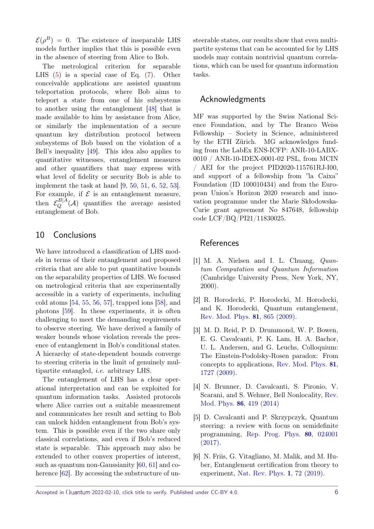$\mathcal{E}(\rho^B) = 0$ . The existence of inseparable LHS models further implies that this is possible even in the absence of steering from Alice to Bob.

The metrological criterion for separable LHS [\(5\)](#page-4-0) is a special case of Eq. [\(7\)](#page-4-1). Other conceivable applications are assisted quantum teleportation protocols, where Bob aims to teleport a state from one of his subsystems to another using the entanglement [\[48\]](#page-7-15) that is made available to him by assistance from Alice, or similarly the implementation of a secure quantum key distribution protocol between subsystems of Bob based on the violation of a Bell's inequality [\[49\]](#page-7-16). This idea also applies to quantitative witnesses, entanglement measures and other quantifiers that may express with what level of fidelity or security Bob is able to implement the task at hand [\[9,](#page-6-2) [50,](#page-7-17) [51,](#page-7-18) [6,](#page-5-5) [52,](#page-7-19) [53\]](#page-7-20). For example, if  $\mathcal E$  is an entanglement measure, then  $\mathcal{E}_Q^{B|A}(\mathcal{A})$  quantifies the average assisted entanglement of Bob.

## 10 Conclusions

We have introduced a classification of LHS models in terms of their entanglement and proposed criteria that are able to put quantitative bounds on the separability properties of LHS. We focused on metrological criteria that are experimentally accessible in a variety of experiments, including cold atoms [\[54,](#page-7-21) [55,](#page-7-22) [56,](#page-7-23) [57\]](#page-7-24), trapped ions [\[58\]](#page-8-0), and photons [\[59\]](#page-8-1). In these experiments, it is often challenging to meet the demanding requirements to observe steering. We have derived a family of weaker bounds whose violation reveals the presence of entanglement in Bob's conditional states. A hierarchy of state-dependent bounds converge to steering criteria in the limit of genuinely multipartite entangled, i.e. arbitrary LHS.

The entanglement of LHS has a clear operational interpretation and can be exploited for quantum information tasks. Assisted protocols where Alice carries out a suitable measurement and communicates her result and setting to Bob can unlock hidden entanglement from Bob's system. This is possible even if the two share only classical correlations, and even if Bob's reduced state is separable. This approach may also be extended to other convex properties of interest, such as quantum non-Gaussianity [\[60,](#page-8-2) [61\]](#page-8-3) and co-herence [\[62\]](#page-8-4). By accessing the substructure of unsteerable states, our results show that even multipartite systems that can be accounted for by LHS models may contain nontrivial quantum correlations, which can be used for quantum information tasks.

#### Acknowledgments

MF was supported by the Swiss National Science Foundation, and by The Branco Weiss Fellowship – Society in Science, administered by the ETH Zürich. MG acknowledges funding from the LabEx ENS-ICFP: ANR-10-LABX-0010 / ANR-10-IDEX-0001-02 PSL, from MCIN / AEI for the project PID2020-115761RJ-I00, and support of a fellowship from "la Caixa" Foundation (ID 100010434) and from the European Union's Horizon 2020 research and innovation programme under the Marie Skłodowska-Curie grant agreement No 847648, fellowship code LCF/BQ/PI21/11830025.

## References

- <span id="page-5-0"></span>[1] M. A. Nielsen and I. L. Chuang, Quantum Computation and Quantum Information (Cambridge University Press, New York, NY, 2000).
- <span id="page-5-1"></span>[2] R. Horodecki, P. Horodecki, M. Horodecki, and K. Horodecki, Quantum entanglement, [Rev. Mod. Phys.](https://doi.org/10.1103/RevModPhys.81.865) 81, 865 (2009).
- <span id="page-5-2"></span>[3] M. D. Reid, P. D. Drummond, W. P. Bowen, E. G. Cavalcanti, P. K. Lam, H. A. Bachor, U. L. Andersen, and G. Leuchs, Colloquium: The Einstein-Podolsky-Rosen paradox: From concepts to applications, [Rev. Mod. Phys.](https://doi.org/10.1103/RevModPhys.81.1727) 81, [1727 \(2009\).](https://doi.org/10.1103/RevModPhys.81.1727)
- <span id="page-5-3"></span>[4] N. Brunner, D. Cavalcanti, S. Pironio, V. Scarani, and S. Wehner, Bell Nonlocality, [Rev.](https://doi.org/10.1103/RevModPhys.86.419) Mod. Phys. 86[, 419 \(2014\)](https://doi.org/10.1103/RevModPhys.86.419)
- <span id="page-5-4"></span>[5] D. Cavalcanti and P. Skrzypczyk, Quantum steering: a review with focus on semidefinite programming, [Rep. Prog. Phys.](https://doi.org/10.1088/1361-6633/80/2/024001) 80, 024001  $(2017).$
- <span id="page-5-5"></span>[6] N. Friis, G. Vitagliano, M. Malik, and M. Huber, Entanglement certification from theory to experiment, [Nat. Rev. Phys.](https://doi.org/10.1038/s42254-018-0003-5) 1, 72 (2019).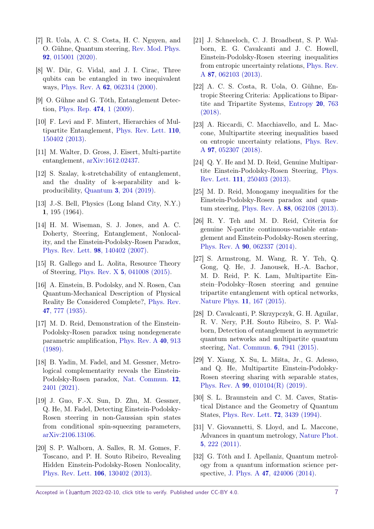- <span id="page-6-0"></span>[7] R. Uola, A. C. S. Costa, H. C. Nguyen, and O. Gühne, Quantum steering, [Rev. Mod. Phys.](https://doi.org/10.1103/RevModPhys.92.015001) 92[, 015001 \(2020\).](https://doi.org/10.1103/RevModPhys.92.015001)
- <span id="page-6-1"></span>[8] W. Dür, G. Vidal, and J. I. Cirac, Three qubits can be entangled in two inequivalent ways, Phys. Rev. A 62[, 062314 \(2000\).](https://doi.org/10.1103/PhysRevA.62.062314)
- <span id="page-6-2"></span>[9] O. Gühne and G. Tóth, Entanglement Detection, [Phys. Rep.](https://doi.org/10.1016/j.physrep.2009.02.004) 474, 1 (2009).
- <span id="page-6-3"></span>[10] F. Levi and F. Mintert, Hierarchies of Multipartite Entanglement, [Phys. Rev. Lett.](https://doi.org/10.1103/PhysRevLett.110.150402) 110, [150402 \(2013\).](https://doi.org/10.1103/PhysRevLett.110.150402)
- <span id="page-6-4"></span>[11] M. Walter, D. Gross, J. Eisert, Multi-partite entanglement, [arXiv:1612.02437.](https://arxiv.org/abs/1612.02437)
- <span id="page-6-5"></span>[12] S. Szalay, k-stretchability of entanglement, and the duality of k-separability and kproducibility, Quantum 3[, 204 \(2019\).](https://doi.org/10.22331/q-2019-12-02-204)
- <span id="page-6-6"></span>[13] J.-S. Bell, Physics (Long Island City, N.Y.) 1, 195 (1964).
- <span id="page-6-7"></span>[14] H. M. Wiseman, S. J. Jones, and A. C. Doherty, Steering, Entanglement, Nonlocality, and the Einstein-Podolsky-Rosen Paradox, [Phys. Rev. Lett.](https://doi.org/10.1103/PhysRevLett.98.140402) 98, 140402 (2007).
- <span id="page-6-8"></span>[15] R. Gallego and L. Aolita, Resource Theory of Steering, Phys. Rev. X 5[, 041008 \(2015\).](https://doi.org/10.1103/PhysRevX.5.041008)
- <span id="page-6-9"></span>[16] A. Einstein, B. Podolsky, and N. Rosen, Can Quantum-Mechanical Description of Physical Reality Be Considered Complete?, [Phys. Rev.](https://doi.org/10.1103/PhysRev.47.777) 47[, 777 \(1935\).](https://doi.org/10.1103/PhysRev.47.777)
- <span id="page-6-10"></span>[17] M. D. Reid, Demonstration of the Einstein-Podolsky-Rosen paradox using nondegenerate parametric amplification, [Phys. Rev. A](https://doi.org/10.1103/PhysRevA.40.913) 40, 913 [\(1989\).](https://doi.org/10.1103/PhysRevA.40.913)
- <span id="page-6-11"></span>[18] B. Yadin, M. Fadel, and M. Gessner, Metrological complementarity reveals the Einstein-Podolsky-Rosen paradox, [Nat. Commun.](https://doi.org/10.1038/s41467-021-22353-3 ) 12, [2401 \(2021\).](https://doi.org/10.1038/s41467-021-22353-3 )
- <span id="page-6-12"></span>[19] J. Guo, F.-X. Sun, D. Zhu, M. Gessner, Q. He, M. Fadel, Detecting Einstein-Podolsky-Rosen steering in non-Gaussian spin states from conditional spin-squeezing parameters, [arXiv:2106.13106.](https://arxiv.org/abs/2106.13106)
- <span id="page-6-13"></span>[20] S. P. Walborn, A. Salles, R. M. Gomes, F. Toscano, and P. H. Souto Ribeiro, Revealing Hidden Einstein-Podolsky-Rosen Nonlocality, [Phys. Rev. Lett.](https://doi.org/10.1103/PhysRevLett.106.130402) 106, 130402 (2013).
- <span id="page-6-14"></span>[21] J. Schneeloch, C. J. Broadbent, S. P. Walborn, E. G. Cavalcanti and J. C. Howell, Einstein-Podolsky-Rosen steering inequalities from entropic uncertainty relations, [Phys. Rev.](https://doi.org/10.1103/PhysRevA.87.062103) A 87[, 062103 \(2013\).](https://doi.org/10.1103/PhysRevA.87.062103)
- <span id="page-6-15"></span>[22] A. C. S. Costa, R. Uola, O. Gühne, Entropic Steering Criteria: Applications to Bipartite and Tripartite Systems, [Entropy](https://doi.org/10.3390/e20100763) 20, 763 [\(2018\).](https://doi.org/10.3390/e20100763)
- <span id="page-6-16"></span>[23] A. Riccardi, C. Macchiavello, and L. Maccone, Multipartite steering inequalities based on entropic uncertainty relations, [Phys. Rev.](https://doi.org/10.1103/PhysRevA.97.052307 ) A 97[, 052307 \(2018\).](https://doi.org/10.1103/PhysRevA.97.052307 )
- <span id="page-6-17"></span>[24] Q. Y. He and M. D. Reid, Genuine Multipartite Einstein-Podolsky-Rosen Steering, [Phys.](https://doi.org/10.1103/PhysRevLett.111.250403) Rev. Lett. 111[, 250403 \(2013\).](https://doi.org/10.1103/PhysRevLett.111.250403)
- <span id="page-6-18"></span>[25] M. D. Reid, Monogamy inequalities for the Einstein-Podolsky-Rosen paradox and quantum steering, Phys. Rev. A 88[, 062108 \(2013\).](https://doi.org/10.1103/PhysRevA.88.062108)
- <span id="page-6-19"></span>[26] R. Y. Teh and M. D. Reid, Criteria for genuine N-partite continuous-variable entanglement and Einstein-Podolsky-Rosen steering, Phys. Rev. A 90[, 062337 \(2014\).](https://doi.org/10.1103/PhysRevA.90.062337)
- <span id="page-6-21"></span>[27] S. Armstrong, M. Wang, R. Y. Teh, Q. Gong, Q. He, J. Janousek, H.-A. Bachor, M. D. Reid, P. K. Lam, Multipartite Einstein–Podolsky–Rosen steering and genuine tripartite entanglement with optical networks, [Nature Phys.](https://doi.org/10.1038/nphys3202) 11, 167 (2015).
- <span id="page-6-20"></span>[28] D. Cavalcanti, P. Skrzypczyk, G. H. Aguilar, R. V. Nery, P.H. Souto Ribeiro, S. P. Walborn, Detection of entanglement in asymmetric quantum networks and multipartite quantum steering, [Nat. Commun.](https://doi.org/10.1038/ncomms8941) 6, 7941 (2015).
- <span id="page-6-22"></span>[29] Y. Xiang, X. Su, L. Mišta, Jr., G. Adesso, and Q. He, Multipartite Einstein-Podolsky-Rosen steering sharing with separable states, Phys. Rev. A 99[, 010104\(R\) \(2019\).](https://doi.org/10.1103/PhysRevA.99.010104)
- <span id="page-6-23"></span>[30] S. L. Braunstein and C. M. Caves, Statistical Distance and the Geometry of Quantum States, [Phys. Rev. Lett.](https://doi.org/10.1103/PhysRevLett.72.3439) 72, 3439 (1994).
- <span id="page-6-24"></span>[31] V. Giovannetti, S. Lloyd, and L. Maccone, Advances in quantum metrology, [Nature Phot.](https://doi.org/10.1038/nphoton.2011.35) 5[, 222 \(2011\).](https://doi.org/10.1038/nphoton.2011.35)
- <span id="page-6-25"></span>[32] G. Tóth and I. Apellaniz, Quantum metrology from a quantum information science perspective, J. Phys. A 47[, 424006 \(2014\).](https://doi.org/10.1088/1751-8113/47/42/424006)

Accepted in  $\langle \lambda$ uantum 2022-02-10, click title to verify. Published under CC-BY 4.0.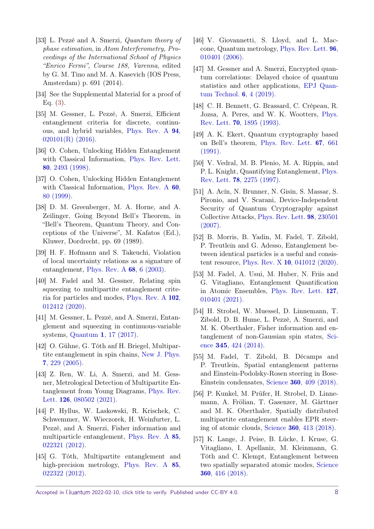- <span id="page-7-0"></span>[33] L. Pezzè and A. Smerzi, Quantum theory of phase estimation, in Atom Interferometry, Proceedings of the International School of Physics "Enrico Fermi", Course 188, Varenna, edited by G. M. Tino and M. A. Kasevich (IOS Press, Amsterdam) p. 691 (2014).
- <span id="page-7-1"></span>[34] See the Supplemental Material for a proof of Eq. [\(3\)](#page-1-0).
- <span id="page-7-2"></span>[35] M. Gessner, L. Pezzè, A. Smerzi, Efficient entanglement criteria for discrete, continuous, and hybrid variables, [Phys. Rev. A](https://doi.org/10.1103/PhysRevA.94.020101) 94,  $020101(R)$  (2016).
- <span id="page-7-3"></span>[36] O. Cohen, Unlocking Hidden Entanglement with Classical Information, [Phys. Rev. Lett.](https://doi.org/10.1103/PhysRevLett.80.2493) 80[, 2493 \(1998\).](https://doi.org/10.1103/PhysRevLett.80.2493)
- <span id="page-7-4"></span>[37] O. Cohen, Unlocking Hidden Entanglement with Classical Information, [Phys. Rev. A](https://doi.org/10.1103/PhysRevA.60.80) 60, [80 \(1999\).](https://doi.org/10.1103/PhysRevA.60.80)
- <span id="page-7-5"></span>[38] D. M. Greenberger, M. A. Horne, and A. Zeilinger, Going Beyond Bell's Theorem, in "Bell's Theorem, Quantum Theory, and Conceptions of the Universe", M. Kafatos (Ed.), Kluwer, Dordrecht, pp. 69 (1989).
- <span id="page-7-6"></span>[39] H. F. Hofmann and S. Takeuchi, Violation of local uncertainty relations as a signature of entanglement, [Phys. Rev. A](https://doi.org/10.1103/PhysRevA.68.032103) 68, 6 (2003).
- <span id="page-7-7"></span>[40] M. Fadel and M. Gessner, Relating spin squeezing to multipartite entanglement criteria for particles and modes, [Phys. Rev. A](https://doi.org/10.1103/PhysRevA.102.012412) 102, [012412 \(2020\).](https://doi.org/10.1103/PhysRevA.102.012412)
- <span id="page-7-8"></span>[41] M. Gessner, L. Pezzè, and A. Smerzi, Entanglement and squeezing in continuous-variable systems, Quantum **1**[, 17 \(2017\).](https://doi.org/10.22331/q-2017-07-14-17)
- <span id="page-7-9"></span>[42] O. Gühne, G. Tóth anf H. Briegel, Multipartite entanglement in spin chains, [New J. Phys.](https://doi.org/10.1088/1367-2630/7/1/229) 7[, 229 \(2005\).](https://doi.org/10.1088/1367-2630/7/1/229)
- <span id="page-7-10"></span>[43] Z. Ren, W. Li, A. Smerzi, and M. Gessner, Metrological Detection of Multipartite Entanglement from Young Diagrams, [Phys. Rev.](https://doi.org/10.1103/PhysRevLett.126.080502) Lett. **126**[, 080502 \(2021\).](https://doi.org/10.1103/PhysRevLett.126.080502)
- <span id="page-7-12"></span>[44] P. Hyllus, W. Laskowski, R. Krischek, C. Schwemmer, W. Wieczorek, H. Weinfurter, L. Pezzè, and A. Smerzi, Fisher information and multiparticle entanglement, [Phys. Rev. A](https://doi.org/10.1103/PhysRevA.85.022321) 85, [022321 \(2012\).](https://doi.org/10.1103/PhysRevA.85.022321)
- <span id="page-7-11"></span>[45] G. Tóth, Multipartite entanglement and high-precision metrology, [Phys. Rev. A](https://doi.org/10.1103/PhysRevA.85.022322) 85, [022322 \(2012\).](https://doi.org/10.1103/PhysRevA.85.022322)
- <span id="page-7-13"></span>[46] V. Giovannetti, S. Lloyd, and L. Maccone, Quantum metrology, [Phys. Rev. Lett.](https://doi.org/10.1103/PhysRevLett.96.010401) 96, [010401 \(2006\).](https://doi.org/10.1103/PhysRevLett.96.010401)
- <span id="page-7-14"></span>[47] M. Gessner and A. Smerzi, Encrypted quantum correlations: Delayed choice of quantum statistics and other applications, [EPJ Quan](https://doi.org/10.1140/epjqt/s40507-019-0074-y)[tum Technol.](https://doi.org/10.1140/epjqt/s40507-019-0074-y) 6, 4 (2019).
- <span id="page-7-15"></span>[48] C. H. Bennett, G. Brassard, C. Crépeau, R. Jozsa, A. Peres, and W. K. Wootters, [Phys.](https://doi.org/10.1103/PhysRevLett.70.1895) Rev. Lett. 70[, 1895 \(1993\).](https://doi.org/10.1103/PhysRevLett.70.1895)
- <span id="page-7-16"></span>[49] A. K. Ekert, Quantum cryptography based on Bell's theorem, [Phys. Rev. Lett.](https://doi.org/10.1103/PhysRevLett.67.661) 67, 661 [\(1991\).](https://doi.org/10.1103/PhysRevLett.67.661)
- <span id="page-7-17"></span>[50] V. Vedral, M. B. Plenio, M. A. Rippin, and P. L. Knight, Quantifying Entanglement, [Phys.](https://doi.org/10.1103/PhysRevLett.78.2275) Rev. Lett. 78[, 2275 \(1997\).](https://doi.org/10.1103/PhysRevLett.78.2275)
- <span id="page-7-18"></span>[51] A. Acín, N. Brunner, N. Gisin, S. Massar, S. Pironio, and V. Scarani, Device-Independent Security of Quantum Cryptography against Collective Attacks, [Phys. Rev. Lett.](https://doi.org/10.1103/PhysRevLett.98.230501) 98, 230501 [\(2007\).](https://doi.org/10.1103/PhysRevLett.98.230501)
- <span id="page-7-19"></span>[52] B. Morris, B. Yadin, M. Fadel, T. Zibold, P. Treutlein and G. Adesso, Entanglement between identical particles is a useful and consistent resource, Phys. Rev. X 10[, 041012 \(2020\).](https://doi.org/10.1103/PhysRevX.10.041012)
- <span id="page-7-20"></span>[53] M. Fadel, A. Usui, M. Huber, N. Friis and G. Vitagliano, Entanglement Quantification in Atomic Ensembles, [Phys. Rev. Lett.](https://doi.org/10.1103/PhysRevLett.127.010401) 127, [010401 \(2021\).](https://doi.org/10.1103/PhysRevLett.127.010401)
- <span id="page-7-21"></span>[54] H. Strobel, W. Muessel, D. Linnemann, T. Zibold, D. B. Hume, L. Pezzè, A. Smerzi, and M. K. Oberthaler, Fisher information and entanglement of non-Gaussian spin states, [Sci](https://doi.org/10.1126/science.1250147 )ence **345**[, 424 \(2014\).](https://doi.org/10.1126/science.1250147 )
- <span id="page-7-22"></span>[55] M. Fadel, T. Zibold, B. Décamps and P. Treutlein, Spatial entanglement patterns and Einstein-Podolsky-Rosen steering in Bose-Einstein condensates, Science 360[, 409 \(2018\).](https://doi.org/10.1126/science.aao1850)
- <span id="page-7-23"></span>[56] P. Kunkel, M. Prüfer, H. Strobel, D. Linnemann, A. Frölian, T. Gasenzer, M. Gärttner and M. K. Oberthaler, Spatially distributed multipartite entanglement enables EPR steering of atomic clouds, Science 360[, 413 \(2018\).](https://doi.org/10.1126/science.aao2254)
- <span id="page-7-24"></span>[57] K. Lange, J. Peise, B. Lücke, I. Kruse, G. Vitagliano, I. Apellaniz, M. Kleinmann, G. Tóth and C. Klempt, Entanglement between two spatially separated atomic modes, [Science](https://doi.org/10.1126/science.aao2035) 360[, 416 \(2018\).](https://doi.org/10.1126/science.aao2035)

Accepted in  $\lambda$ uantum 2022-02-10, click title to verify. Published under CC-BY 4.0.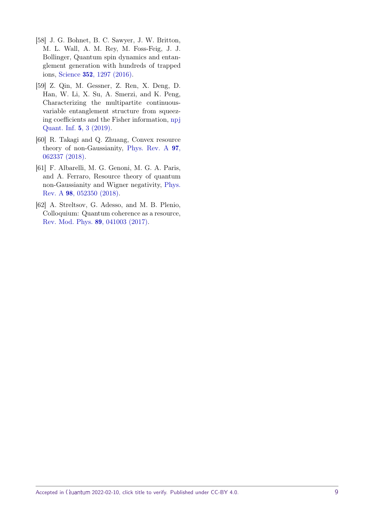- <span id="page-8-0"></span>[58] J. G. Bohnet, B. C. Sawyer, J. W. Britton, M. L. Wall, A. M. Rey, M. Foss-Feig, J. J. Bollinger, Quantum spin dynamics and entanglement generation with hundreds of trapped ions, Science 352[, 1297 \(2016\).](https://doi.org/10.1126/science.aad9958 )
- <span id="page-8-1"></span>[59] Z. Qin, M. Gessner, Z. Ren, X. Deng, D. Han, W. Li, X. Su, A. Smerzi, and K. Peng, Characterizing the multipartite continuousvariable entanglement structure from squeezing coefficients and the Fisher information, [npj](https://doi.org/10.1038/s41534-018-0119-6) [Quant. Inf.](https://doi.org/10.1038/s41534-018-0119-6) 5, 3 (2019).
- <span id="page-8-2"></span>[60] R. Takagi and Q. Zhuang, Convex resource theory of non-Gaussianity, [Phys. Rev. A](https://doi.org/10.1103/PhysRevA.97.062337) 97, [062337 \(2018\).](https://doi.org/10.1103/PhysRevA.97.062337)
- <span id="page-8-3"></span>[61] F. Albarelli, M. G. Genoni, M. G. A. Paris, and A. Ferraro, Resource theory of quantum non-Gaussianity and Wigner negativity, [Phys.](https://doi.org/10.1103/PhysRevA.98.052350) Rev. A 98[, 052350 \(2018\).](https://doi.org/10.1103/PhysRevA.98.052350)
- <span id="page-8-4"></span>[62] A. Streltsov, G. Adesso, and M. B. Plenio, Colloquium: Quantum coherence as a resource, [Rev. Mod. Phys.](https://doi.org/10.1103/RevModPhys.89.041003) 89, 041003 (2017).